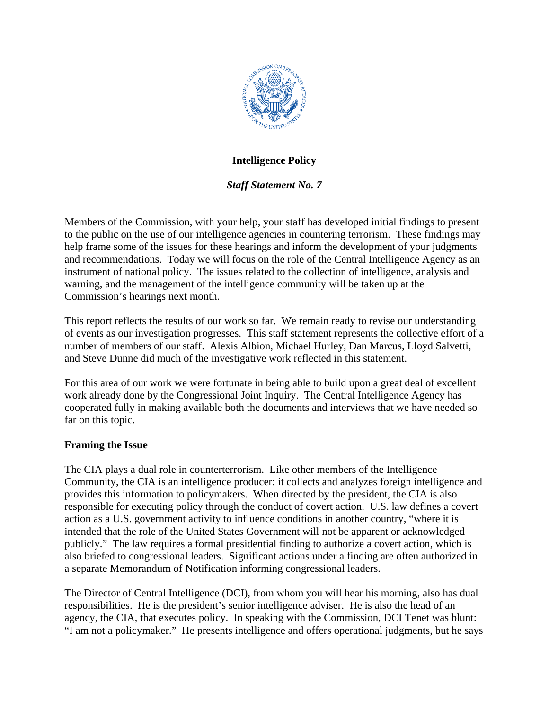

# **Intelligence Policy**

## *Staff Statement No. 7*

Members of the Commission, with your help, your staff has developed initial findings to present to the public on the use of our intelligence agencies in countering terrorism. These findings may help frame some of the issues for these hearings and inform the development of your judgments and recommendations. Today we will focus on the role of the Central Intelligence Agency as an instrument of national policy. The issues related to the collection of intelligence, analysis and warning, and the management of the intelligence community will be taken up at the Commission's hearings next month.

This report reflects the results of our work so far. We remain ready to revise our understanding of events as our investigation progresses. This staff statement represents the collective effort of a number of members of our staff. Alexis Albion, Michael Hurley, Dan Marcus, Lloyd Salvetti, and Steve Dunne did much of the investigative work reflected in this statement.

For this area of our work we were fortunate in being able to build upon a great deal of excellent work already done by the Congressional Joint Inquiry. The Central Intelligence Agency has cooperated fully in making available both the documents and interviews that we have needed so far on this topic.

## **Framing the Issue**

The CIA plays a dual role in counterterrorism. Like other members of the Intelligence Community, the CIA is an intelligence producer: it collects and analyzes foreign intelligence and provides this information to policymakers. When directed by the president, the CIA is also responsible for executing policy through the conduct of covert action. U.S. law defines a covert action as a U.S. government activity to influence conditions in another country, "where it is intended that the role of the United States Government will not be apparent or acknowledged publicly." The law requires a formal presidential finding to authorize a covert action, which is also briefed to congressional leaders. Significant actions under a finding are often authorized in a separate Memorandum of Notification informing congressional leaders.

The Director of Central Intelligence (DCI), from whom you will hear his morning, also has dual responsibilities. He is the president's senior intelligence adviser. He is also the head of an agency, the CIA, that executes policy. In speaking with the Commission, DCI Tenet was blunt: "I am not a policymaker." He presents intelligence and offers operational judgments, but he says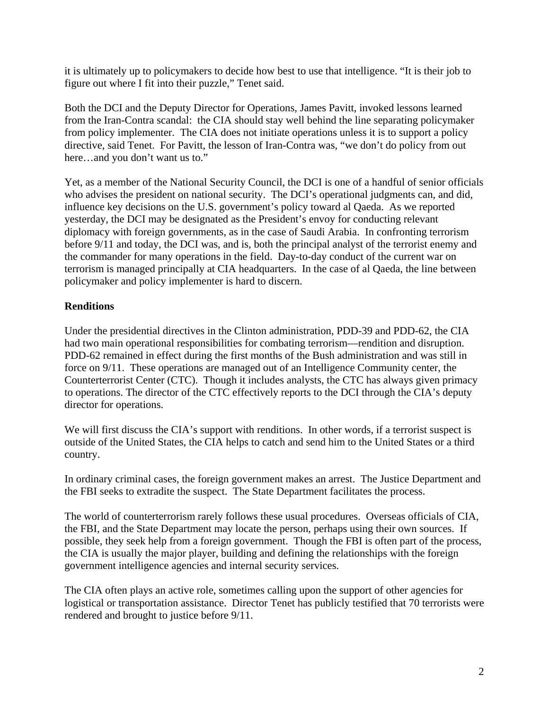it is ultimately up to policymakers to decide how best to use that intelligence. "It is their job to figure out where I fit into their puzzle," Tenet said.

Both the DCI and the Deputy Director for Operations, James Pavitt, invoked lessons learned from the Iran-Contra scandal: the CIA should stay well behind the line separating policymaker from policy implementer. The CIA does not initiate operations unless it is to support a policy directive, said Tenet. For Pavitt, the lesson of Iran-Contra was, "we don't do policy from out here…and you don't want us to."

Yet, as a member of the National Security Council, the DCI is one of a handful of senior officials who advises the president on national security. The DCI's operational judgments can, and did, influence key decisions on the U.S. government's policy toward al Qaeda. As we reported yesterday, the DCI may be designated as the President's envoy for conducting relevant diplomacy with foreign governments, as in the case of Saudi Arabia. In confronting terrorism before 9/11 and today, the DCI was, and is, both the principal analyst of the terrorist enemy and the commander for many operations in the field. Day-to-day conduct of the current war on terrorism is managed principally at CIA headquarters. In the case of al Qaeda, the line between policymaker and policy implementer is hard to discern.

# **Renditions**

Under the presidential directives in the Clinton administration, PDD-39 and PDD-62, the CIA had two main operational responsibilities for combating terrorism—rendition and disruption. PDD-62 remained in effect during the first months of the Bush administration and was still in force on 9/11. These operations are managed out of an Intelligence Community center, the Counterterrorist Center (CTC). Though it includes analysts, the CTC has always given primacy to operations. The director of the CTC effectively reports to the DCI through the CIA's deputy director for operations.

We will first discuss the CIA's support with renditions. In other words, if a terrorist suspect is outside of the United States, the CIA helps to catch and send him to the United States or a third country.

In ordinary criminal cases, the foreign government makes an arrest. The Justice Department and the FBI seeks to extradite the suspect. The State Department facilitates the process.

The world of counterterrorism rarely follows these usual procedures. Overseas officials of CIA, the FBI, and the State Department may locate the person, perhaps using their own sources. If possible, they seek help from a foreign government. Though the FBI is often part of the process, the CIA is usually the major player, building and defining the relationships with the foreign government intelligence agencies and internal security services.

The CIA often plays an active role, sometimes calling upon the support of other agencies for logistical or transportation assistance. Director Tenet has publicly testified that 70 terrorists were rendered and brought to justice before 9/11.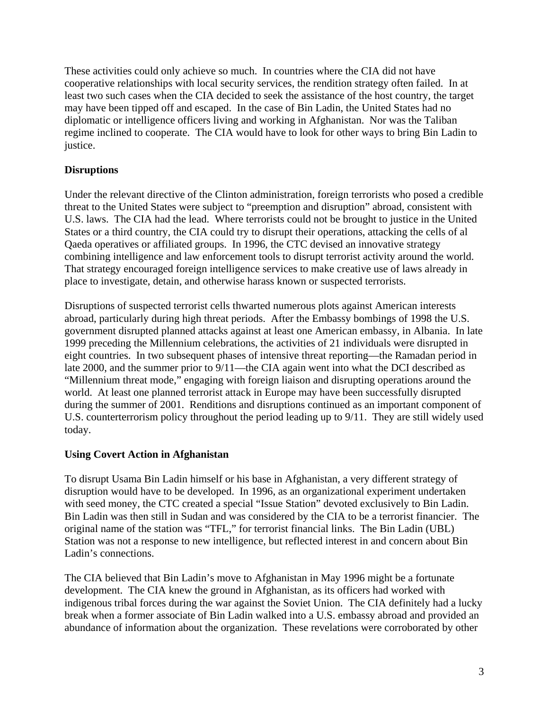These activities could only achieve so much. In countries where the CIA did not have cooperative relationships with local security services, the rendition strategy often failed. In at least two such cases when the CIA decided to seek the assistance of the host country, the target may have been tipped off and escaped. In the case of Bin Ladin, the United States had no diplomatic or intelligence officers living and working in Afghanistan. Nor was the Taliban regime inclined to cooperate. The CIA would have to look for other ways to bring Bin Ladin to justice.

# **Disruptions**

Under the relevant directive of the Clinton administration, foreign terrorists who posed a credible threat to the United States were subject to "preemption and disruption" abroad, consistent with U.S. laws. The CIA had the lead. Where terrorists could not be brought to justice in the United States or a third country, the CIA could try to disrupt their operations, attacking the cells of al Qaeda operatives or affiliated groups. In 1996, the CTC devised an innovative strategy combining intelligence and law enforcement tools to disrupt terrorist activity around the world. That strategy encouraged foreign intelligence services to make creative use of laws already in place to investigate, detain, and otherwise harass known or suspected terrorists.

Disruptions of suspected terrorist cells thwarted numerous plots against American interests abroad, particularly during high threat periods. After the Embassy bombings of 1998 the U.S. government disrupted planned attacks against at least one American embassy, in Albania. In late 1999 preceding the Millennium celebrations, the activities of 21 individuals were disrupted in eight countries. In two subsequent phases of intensive threat reporting—the Ramadan period in late 2000, and the summer prior to 9/11—the CIA again went into what the DCI described as "Millennium threat mode," engaging with foreign liaison and disrupting operations around the world. At least one planned terrorist attack in Europe may have been successfully disrupted during the summer of 2001. Renditions and disruptions continued as an important component of U.S. counterterrorism policy throughout the period leading up to 9/11. They are still widely used today.

## **Using Covert Action in Afghanistan**

To disrupt Usama Bin Ladin himself or his base in Afghanistan, a very different strategy of disruption would have to be developed. In 1996, as an organizational experiment undertaken with seed money, the CTC created a special "Issue Station" devoted exclusively to Bin Ladin. Bin Ladin was then still in Sudan and was considered by the CIA to be a terrorist financier. The original name of the station was "TFL," for terrorist financial links. The Bin Ladin (UBL) Station was not a response to new intelligence, but reflected interest in and concern about Bin Ladin's connections.

The CIA believed that Bin Ladin's move to Afghanistan in May 1996 might be a fortunate development. The CIA knew the ground in Afghanistan, as its officers had worked with indigenous tribal forces during the war against the Soviet Union. The CIA definitely had a lucky break when a former associate of Bin Ladin walked into a U.S. embassy abroad and provided an abundance of information about the organization. These revelations were corroborated by other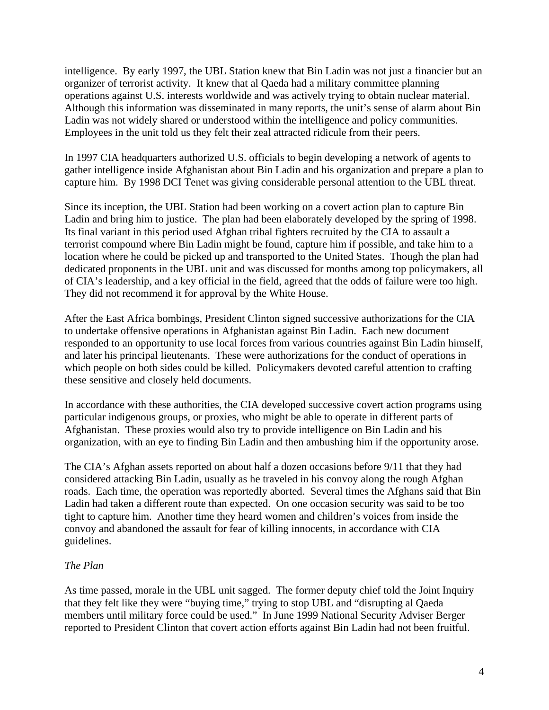intelligence. By early 1997, the UBL Station knew that Bin Ladin was not just a financier but an organizer of terrorist activity. It knew that al Qaeda had a military committee planning operations against U.S. interests worldwide and was actively trying to obtain nuclear material. Although this information was disseminated in many reports, the unit's sense of alarm about Bin Ladin was not widely shared or understood within the intelligence and policy communities. Employees in the unit told us they felt their zeal attracted ridicule from their peers.

In 1997 CIA headquarters authorized U.S. officials to begin developing a network of agents to gather intelligence inside Afghanistan about Bin Ladin and his organization and prepare a plan to capture him. By 1998 DCI Tenet was giving considerable personal attention to the UBL threat.

Since its inception, the UBL Station had been working on a covert action plan to capture Bin Ladin and bring him to justice. The plan had been elaborately developed by the spring of 1998. Its final variant in this period used Afghan tribal fighters recruited by the CIA to assault a terrorist compound where Bin Ladin might be found, capture him if possible, and take him to a location where he could be picked up and transported to the United States. Though the plan had dedicated proponents in the UBL unit and was discussed for months among top policymakers, all of CIA's leadership, and a key official in the field, agreed that the odds of failure were too high. They did not recommend it for approval by the White House.

After the East Africa bombings, President Clinton signed successive authorizations for the CIA to undertake offensive operations in Afghanistan against Bin Ladin. Each new document responded to an opportunity to use local forces from various countries against Bin Ladin himself, and later his principal lieutenants. These were authorizations for the conduct of operations in which people on both sides could be killed. Policymakers devoted careful attention to crafting these sensitive and closely held documents.

In accordance with these authorities, the CIA developed successive covert action programs using particular indigenous groups, or proxies, who might be able to operate in different parts of Afghanistan. These proxies would also try to provide intelligence on Bin Ladin and his organization, with an eye to finding Bin Ladin and then ambushing him if the opportunity arose.

The CIA's Afghan assets reported on about half a dozen occasions before 9/11 that they had considered attacking Bin Ladin, usually as he traveled in his convoy along the rough Afghan roads. Each time, the operation was reportedly aborted. Several times the Afghans said that Bin Ladin had taken a different route than expected. On one occasion security was said to be too tight to capture him. Another time they heard women and children's voices from inside the convoy and abandoned the assault for fear of killing innocents, in accordance with CIA guidelines.

## *The Plan*

As time passed, morale in the UBL unit sagged. The former deputy chief told the Joint Inquiry that they felt like they were "buying time," trying to stop UBL and "disrupting al Qaeda members until military force could be used." In June 1999 National Security Adviser Berger reported to President Clinton that covert action efforts against Bin Ladin had not been fruitful.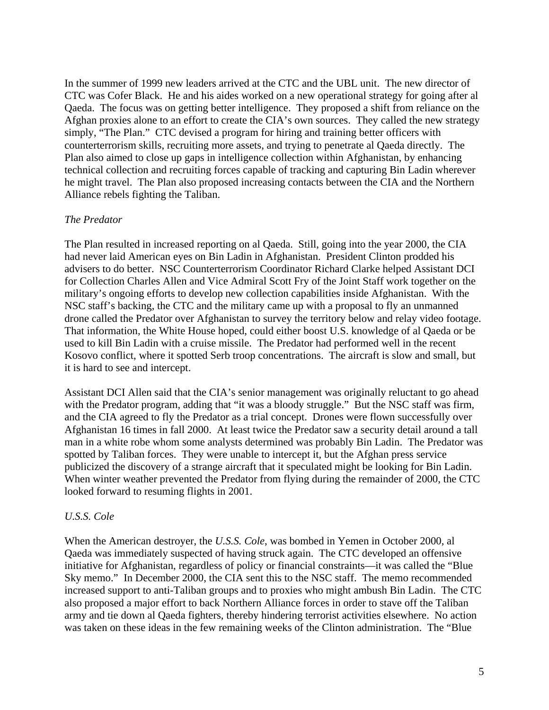In the summer of 1999 new leaders arrived at the CTC and the UBL unit. The new director of CTC was Cofer Black. He and his aides worked on a new operational strategy for going after al Qaeda. The focus was on getting better intelligence. They proposed a shift from reliance on the Afghan proxies alone to an effort to create the CIA's own sources. They called the new strategy simply, "The Plan." CTC devised a program for hiring and training better officers with counterterrorism skills, recruiting more assets, and trying to penetrate al Qaeda directly. The Plan also aimed to close up gaps in intelligence collection within Afghanistan, by enhancing technical collection and recruiting forces capable of tracking and capturing Bin Ladin wherever he might travel. The Plan also proposed increasing contacts between the CIA and the Northern Alliance rebels fighting the Taliban.

### *The Predator*

The Plan resulted in increased reporting on al Qaeda. Still, going into the year 2000, the CIA had never laid American eyes on Bin Ladin in Afghanistan. President Clinton prodded his advisers to do better. NSC Counterterrorism Coordinator Richard Clarke helped Assistant DCI for Collection Charles Allen and Vice Admiral Scott Fry of the Joint Staff work together on the military's ongoing efforts to develop new collection capabilities inside Afghanistan. With the NSC staff's backing, the CTC and the military came up with a proposal to fly an unmanned drone called the Predator over Afghanistan to survey the territory below and relay video footage. That information, the White House hoped, could either boost U.S. knowledge of al Qaeda or be used to kill Bin Ladin with a cruise missile. The Predator had performed well in the recent Kosovo conflict, where it spotted Serb troop concentrations. The aircraft is slow and small, but it is hard to see and intercept.

Assistant DCI Allen said that the CIA's senior management was originally reluctant to go ahead with the Predator program, adding that "it was a bloody struggle." But the NSC staff was firm, and the CIA agreed to fly the Predator as a trial concept. Drones were flown successfully over Afghanistan 16 times in fall 2000. At least twice the Predator saw a security detail around a tall man in a white robe whom some analysts determined was probably Bin Ladin. The Predator was spotted by Taliban forces. They were unable to intercept it, but the Afghan press service publicized the discovery of a strange aircraft that it speculated might be looking for Bin Ladin. When winter weather prevented the Predator from flying during the remainder of 2000, the CTC looked forward to resuming flights in 2001.

#### *U.S.S. Cole*

When the American destroyer, the *U.S.S. Cole*, was bombed in Yemen in October 2000, al Qaeda was immediately suspected of having struck again. The CTC developed an offensive initiative for Afghanistan, regardless of policy or financial constraints—it was called the "Blue Sky memo." In December 2000, the CIA sent this to the NSC staff. The memo recommended increased support to anti-Taliban groups and to proxies who might ambush Bin Ladin. The CTC also proposed a major effort to back Northern Alliance forces in order to stave off the Taliban army and tie down al Qaeda fighters, thereby hindering terrorist activities elsewhere. No action was taken on these ideas in the few remaining weeks of the Clinton administration. The "Blue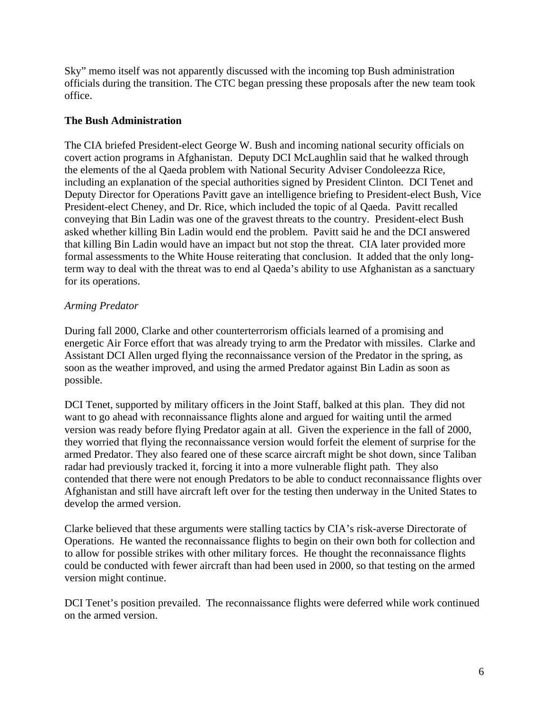Sky" memo itself was not apparently discussed with the incoming top Bush administration officials during the transition. The CTC began pressing these proposals after the new team took office.

### **The Bush Administration**

The CIA briefed President-elect George W. Bush and incoming national security officials on covert action programs in Afghanistan. Deputy DCI McLaughlin said that he walked through the elements of the al Qaeda problem with National Security Adviser Condoleezza Rice, including an explanation of the special authorities signed by President Clinton. DCI Tenet and Deputy Director for Operations Pavitt gave an intelligence briefing to President-elect Bush, Vice President-elect Cheney, and Dr. Rice, which included the topic of al Qaeda. Pavitt recalled conveying that Bin Ladin was one of the gravest threats to the country. President-elect Bush asked whether killing Bin Ladin would end the problem. Pavitt said he and the DCI answered that killing Bin Ladin would have an impact but not stop the threat. CIA later provided more formal assessments to the White House reiterating that conclusion. It added that the only longterm way to deal with the threat was to end al Qaeda's ability to use Afghanistan as a sanctuary for its operations.

### *Arming Predator*

During fall 2000, Clarke and other counterterrorism officials learned of a promising and energetic Air Force effort that was already trying to arm the Predator with missiles. Clarke and Assistant DCI Allen urged flying the reconnaissance version of the Predator in the spring, as soon as the weather improved, and using the armed Predator against Bin Ladin as soon as possible.

DCI Tenet, supported by military officers in the Joint Staff, balked at this plan. They did not want to go ahead with reconnaissance flights alone and argued for waiting until the armed version was ready before flying Predator again at all. Given the experience in the fall of 2000, they worried that flying the reconnaissance version would forfeit the element of surprise for the armed Predator. They also feared one of these scarce aircraft might be shot down, since Taliban radar had previously tracked it, forcing it into a more vulnerable flight path. They also contended that there were not enough Predators to be able to conduct reconnaissance flights over Afghanistan and still have aircraft left over for the testing then underway in the United States to develop the armed version.

Clarke believed that these arguments were stalling tactics by CIA's risk-averse Directorate of Operations. He wanted the reconnaissance flights to begin on their own both for collection and to allow for possible strikes with other military forces. He thought the reconnaissance flights could be conducted with fewer aircraft than had been used in 2000, so that testing on the armed version might continue.

DCI Tenet's position prevailed. The reconnaissance flights were deferred while work continued on the armed version.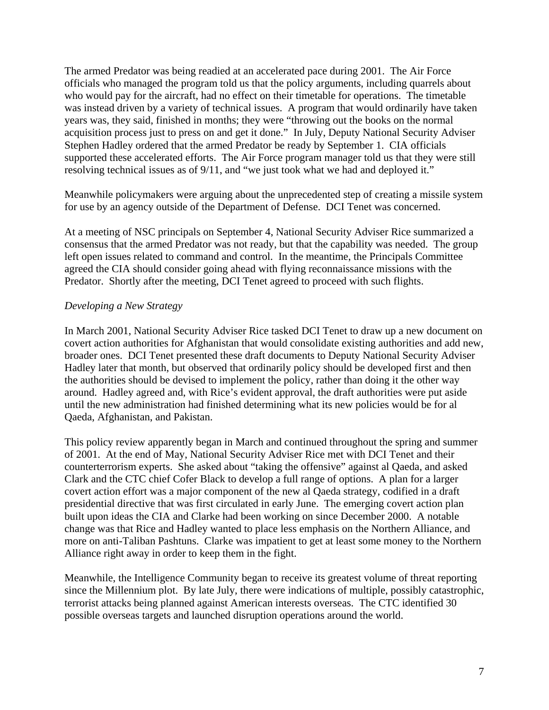The armed Predator was being readied at an accelerated pace during 2001. The Air Force officials who managed the program told us that the policy arguments, including quarrels about who would pay for the aircraft, had no effect on their timetable for operations. The timetable was instead driven by a variety of technical issues. A program that would ordinarily have taken years was, they said, finished in months; they were "throwing out the books on the normal acquisition process just to press on and get it done." In July, Deputy National Security Adviser Stephen Hadley ordered that the armed Predator be ready by September 1. CIA officials supported these accelerated efforts. The Air Force program manager told us that they were still resolving technical issues as of 9/11, and "we just took what we had and deployed it."

Meanwhile policymakers were arguing about the unprecedented step of creating a missile system for use by an agency outside of the Department of Defense. DCI Tenet was concerned.

At a meeting of NSC principals on September 4, National Security Adviser Rice summarized a consensus that the armed Predator was not ready, but that the capability was needed. The group left open issues related to command and control. In the meantime, the Principals Committee agreed the CIA should consider going ahead with flying reconnaissance missions with the Predator. Shortly after the meeting, DCI Tenet agreed to proceed with such flights.

### *Developing a New Strategy*

In March 2001, National Security Adviser Rice tasked DCI Tenet to draw up a new document on covert action authorities for Afghanistan that would consolidate existing authorities and add new, broader ones. DCI Tenet presented these draft documents to Deputy National Security Adviser Hadley later that month, but observed that ordinarily policy should be developed first and then the authorities should be devised to implement the policy, rather than doing it the other way around. Hadley agreed and, with Rice's evident approval, the draft authorities were put aside until the new administration had finished determining what its new policies would be for al Qaeda, Afghanistan, and Pakistan.

This policy review apparently began in March and continued throughout the spring and summer of 2001. At the end of May, National Security Adviser Rice met with DCI Tenet and their counterterrorism experts. She asked about "taking the offensive" against al Qaeda, and asked Clark and the CTC chief Cofer Black to develop a full range of options. A plan for a larger covert action effort was a major component of the new al Qaeda strategy, codified in a draft presidential directive that was first circulated in early June. The emerging covert action plan built upon ideas the CIA and Clarke had been working on since December 2000. A notable change was that Rice and Hadley wanted to place less emphasis on the Northern Alliance, and more on anti-Taliban Pashtuns. Clarke was impatient to get at least some money to the Northern Alliance right away in order to keep them in the fight.

Meanwhile, the Intelligence Community began to receive its greatest volume of threat reporting since the Millennium plot. By late July, there were indications of multiple, possibly catastrophic, terrorist attacks being planned against American interests overseas. The CTC identified 30 possible overseas targets and launched disruption operations around the world.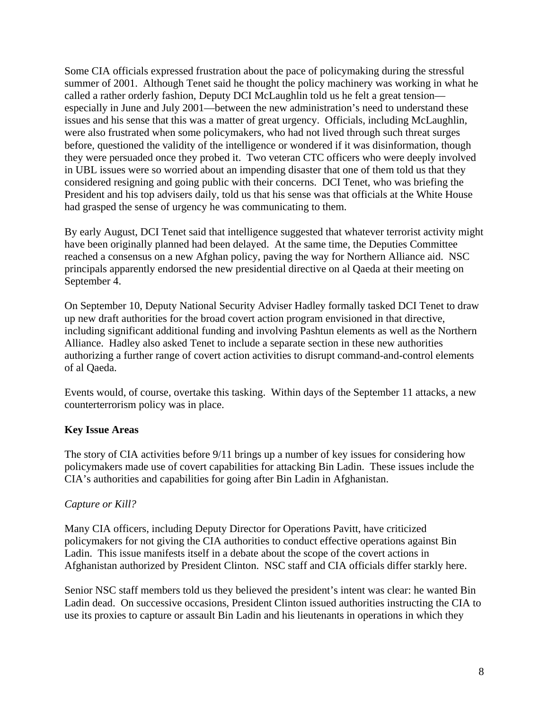Some CIA officials expressed frustration about the pace of policymaking during the stressful summer of 2001. Although Tenet said he thought the policy machinery was working in what he called a rather orderly fashion, Deputy DCI McLaughlin told us he felt a great tension especially in June and July 2001—between the new administration's need to understand these issues and his sense that this was a matter of great urgency. Officials, including McLaughlin, were also frustrated when some policymakers, who had not lived through such threat surges before, questioned the validity of the intelligence or wondered if it was disinformation, though they were persuaded once they probed it. Two veteran CTC officers who were deeply involved in UBL issues were so worried about an impending disaster that one of them told us that they considered resigning and going public with their concerns. DCI Tenet, who was briefing the President and his top advisers daily, told us that his sense was that officials at the White House had grasped the sense of urgency he was communicating to them.

By early August, DCI Tenet said that intelligence suggested that whatever terrorist activity might have been originally planned had been delayed. At the same time, the Deputies Committee reached a consensus on a new Afghan policy, paving the way for Northern Alliance aid. NSC principals apparently endorsed the new presidential directive on al Qaeda at their meeting on September 4.

On September 10, Deputy National Security Adviser Hadley formally tasked DCI Tenet to draw up new draft authorities for the broad covert action program envisioned in that directive, including significant additional funding and involving Pashtun elements as well as the Northern Alliance. Hadley also asked Tenet to include a separate section in these new authorities authorizing a further range of covert action activities to disrupt command-and-control elements of al Qaeda.

Events would, of course, overtake this tasking. Within days of the September 11 attacks, a new counterterrorism policy was in place.

## **Key Issue Areas**

The story of CIA activities before 9/11 brings up a number of key issues for considering how policymakers made use of covert capabilities for attacking Bin Ladin. These issues include the CIA's authorities and capabilities for going after Bin Ladin in Afghanistan.

# *Capture or Kill?*

Many CIA officers, including Deputy Director for Operations Pavitt, have criticized policymakers for not giving the CIA authorities to conduct effective operations against Bin Ladin. This issue manifests itself in a debate about the scope of the covert actions in Afghanistan authorized by President Clinton. NSC staff and CIA officials differ starkly here.

Senior NSC staff members told us they believed the president's intent was clear: he wanted Bin Ladin dead. On successive occasions, President Clinton issued authorities instructing the CIA to use its proxies to capture or assault Bin Ladin and his lieutenants in operations in which they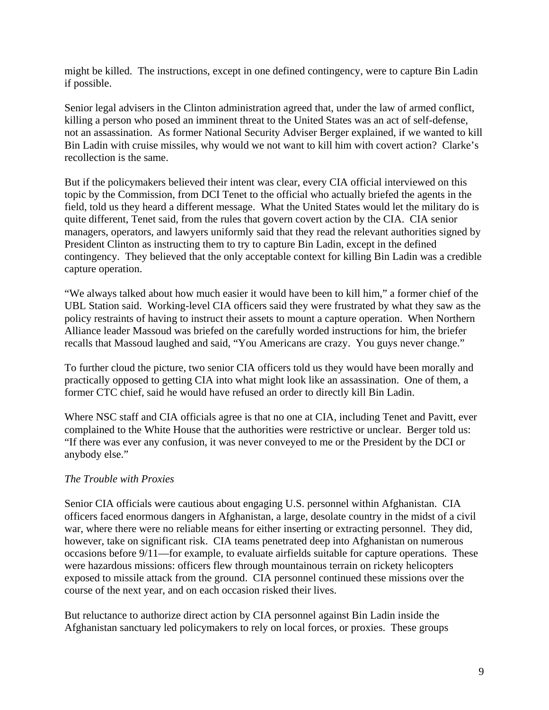might be killed. The instructions, except in one defined contingency, were to capture Bin Ladin if possible.

Senior legal advisers in the Clinton administration agreed that, under the law of armed conflict, killing a person who posed an imminent threat to the United States was an act of self-defense, not an assassination. As former National Security Adviser Berger explained, if we wanted to kill Bin Ladin with cruise missiles, why would we not want to kill him with covert action? Clarke's recollection is the same.

But if the policymakers believed their intent was clear, every CIA official interviewed on this topic by the Commission, from DCI Tenet to the official who actually briefed the agents in the field, told us they heard a different message. What the United States would let the military do is quite different, Tenet said, from the rules that govern covert action by the CIA. CIA senior managers, operators, and lawyers uniformly said that they read the relevant authorities signed by President Clinton as instructing them to try to capture Bin Ladin, except in the defined contingency. They believed that the only acceptable context for killing Bin Ladin was a credible capture operation.

"We always talked about how much easier it would have been to kill him," a former chief of the UBL Station said. Working-level CIA officers said they were frustrated by what they saw as the policy restraints of having to instruct their assets to mount a capture operation. When Northern Alliance leader Massoud was briefed on the carefully worded instructions for him, the briefer recalls that Massoud laughed and said, "You Americans are crazy. You guys never change."

To further cloud the picture, two senior CIA officers told us they would have been morally and practically opposed to getting CIA into what might look like an assassination. One of them, a former CTC chief, said he would have refused an order to directly kill Bin Ladin.

Where NSC staff and CIA officials agree is that no one at CIA, including Tenet and Pavitt, ever complained to the White House that the authorities were restrictive or unclear. Berger told us: "If there was ever any confusion, it was never conveyed to me or the President by the DCI or anybody else."

#### *The Trouble with Proxies*

Senior CIA officials were cautious about engaging U.S. personnel within Afghanistan. CIA officers faced enormous dangers in Afghanistan, a large, desolate country in the midst of a civil war, where there were no reliable means for either inserting or extracting personnel. They did, however, take on significant risk. CIA teams penetrated deep into Afghanistan on numerous occasions before 9/11—for example, to evaluate airfields suitable for capture operations. These were hazardous missions: officers flew through mountainous terrain on rickety helicopters exposed to missile attack from the ground. CIA personnel continued these missions over the course of the next year, and on each occasion risked their lives.

But reluctance to authorize direct action by CIA personnel against Bin Ladin inside the Afghanistan sanctuary led policymakers to rely on local forces, or proxies. These groups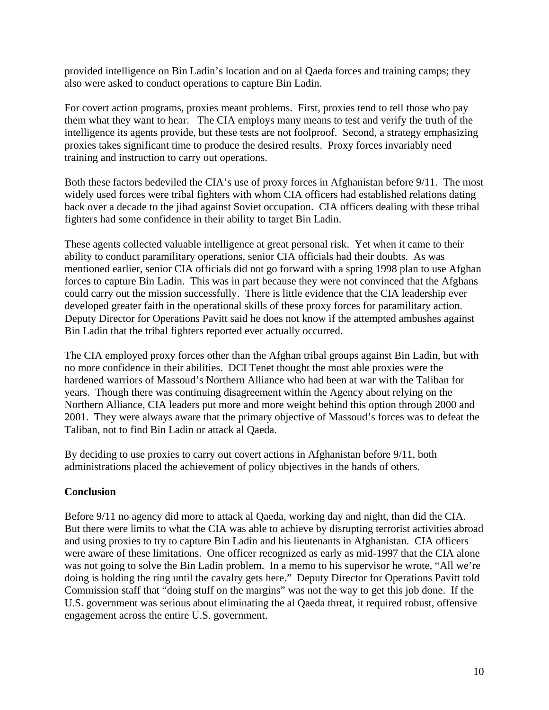provided intelligence on Bin Ladin's location and on al Qaeda forces and training camps; they also were asked to conduct operations to capture Bin Ladin.

For covert action programs, proxies meant problems. First, proxies tend to tell those who pay them what they want to hear. The CIA employs many means to test and verify the truth of the intelligence its agents provide, but these tests are not foolproof. Second, a strategy emphasizing proxies takes significant time to produce the desired results. Proxy forces invariably need training and instruction to carry out operations.

Both these factors bedeviled the CIA's use of proxy forces in Afghanistan before 9/11. The most widely used forces were tribal fighters with whom CIA officers had established relations dating back over a decade to the jihad against Soviet occupation. CIA officers dealing with these tribal fighters had some confidence in their ability to target Bin Ladin.

These agents collected valuable intelligence at great personal risk. Yet when it came to their ability to conduct paramilitary operations, senior CIA officials had their doubts. As was mentioned earlier, senior CIA officials did not go forward with a spring 1998 plan to use Afghan forces to capture Bin Ladin. This was in part because they were not convinced that the Afghans could carry out the mission successfully. There is little evidence that the CIA leadership ever developed greater faith in the operational skills of these proxy forces for paramilitary action. Deputy Director for Operations Pavitt said he does not know if the attempted ambushes against Bin Ladin that the tribal fighters reported ever actually occurred.

The CIA employed proxy forces other than the Afghan tribal groups against Bin Ladin, but with no more confidence in their abilities. DCI Tenet thought the most able proxies were the hardened warriors of Massoud's Northern Alliance who had been at war with the Taliban for years. Though there was continuing disagreement within the Agency about relying on the Northern Alliance, CIA leaders put more and more weight behind this option through 2000 and 2001. They were always aware that the primary objective of Massoud's forces was to defeat the Taliban, not to find Bin Ladin or attack al Qaeda.

By deciding to use proxies to carry out covert actions in Afghanistan before 9/11, both administrations placed the achievement of policy objectives in the hands of others.

## **Conclusion**

Before 9/11 no agency did more to attack al Qaeda, working day and night, than did the CIA. But there were limits to what the CIA was able to achieve by disrupting terrorist activities abroad and using proxies to try to capture Bin Ladin and his lieutenants in Afghanistan. CIA officers were aware of these limitations. One officer recognized as early as mid-1997 that the CIA alone was not going to solve the Bin Ladin problem. In a memo to his supervisor he wrote, "All we're doing is holding the ring until the cavalry gets here." Deputy Director for Operations Pavitt told Commission staff that "doing stuff on the margins" was not the way to get this job done. If the U.S. government was serious about eliminating the al Qaeda threat, it required robust, offensive engagement across the entire U.S. government.